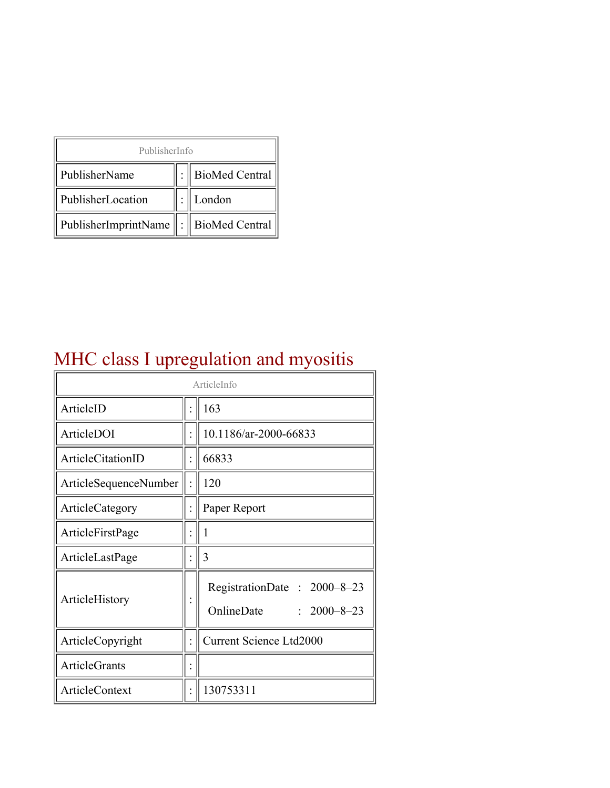| PublisherInfo                              |  |                  |  |  |
|--------------------------------------------|--|------------------|--|--|
| PublisherName                              |  | : BioMed Central |  |  |
| PublisherLocation                          |  | London           |  |  |
| PublisherImprintName   :    BioMed Central |  |                  |  |  |

## MHC class I upregulation and myositis

| ArticleInfo           |  |                                                                |
|-----------------------|--|----------------------------------------------------------------|
| ArticleID             |  | 163                                                            |
| ArticleDOI            |  | 10.1186/ar-2000-66833                                          |
| ArticleCitationID     |  | 66833                                                          |
| ArticleSequenceNumber |  | 120                                                            |
| ArticleCategory       |  | Paper Report                                                   |
| ArticleFirstPage      |  | 1                                                              |
| ArticleLastPage       |  | 3                                                              |
| ArticleHistory        |  | RegistrationDate: 2000-8-23<br>OnlineDate<br>$: 2000 - 8 - 23$ |
| ArticleCopyright      |  | Current Science Ltd2000                                        |
| <b>ArticleGrants</b>  |  |                                                                |
| ArticleContext        |  | 130753311                                                      |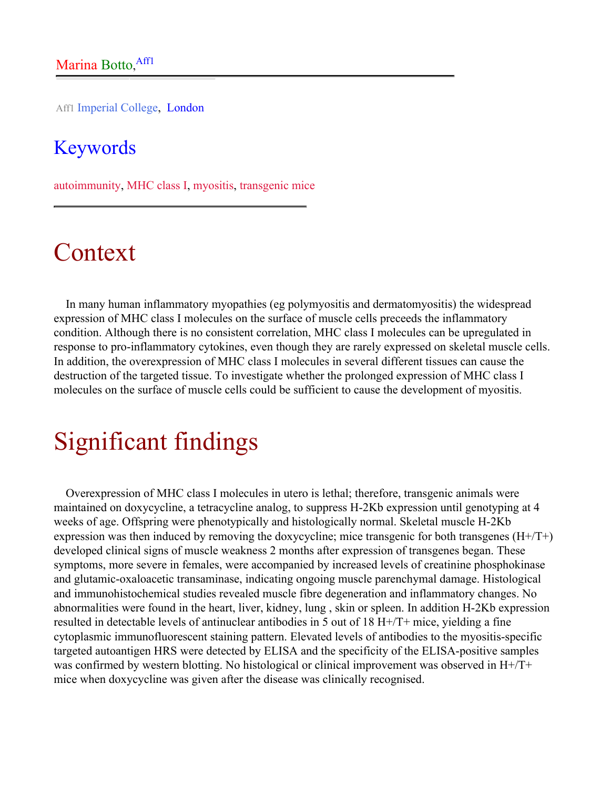Aff1 Imperial College, London

#### Keywords

autoimmunity, MHC class I, myositis, transgenic mice

## Context

In many human inflammatory myopathies (eg polymyositis and dermatomyositis) the widespread expression of MHC class I molecules on the surface of muscle cells preceeds the inflammatory condition. Although there is no consistent correlation, MHC class I molecules can be upregulated in response to pro-inflammatory cytokines, even though they are rarely expressed on skeletal muscle cells. In addition, the overexpression of MHC class I molecules in several different tissues can cause the destruction of the targeted tissue. To investigate whether the prolonged expression of MHC class I molecules on the surface of muscle cells could be sufficient to cause the development of myositis.

# Significant findings

Overexpression of MHC class I molecules in utero is lethal; therefore, transgenic animals were maintained on doxycycline, a tetracycline analog, to suppress H-2Kb expression until genotyping at 4 weeks of age. Offspring were phenotypically and histologically normal. Skeletal muscle H-2Kb expression was then induced by removing the doxycycline; mice transgenic for both transgenes (H+/T+) developed clinical signs of muscle weakness 2 months after expression of transgenes began. These symptoms, more severe in females, were accompanied by increased levels of creatinine phosphokinase and glutamic-oxaloacetic transaminase, indicating ongoing muscle parenchymal damage. Histological and immunohistochemical studies revealed muscle fibre degeneration and inflammatory changes. No abnormalities were found in the heart, liver, kidney, lung , skin or spleen. In addition H-2Kb expression resulted in detectable levels of antinuclear antibodies in 5 out of 18 H+/T+ mice, yielding a fine cytoplasmic immunofluorescent staining pattern. Elevated levels of antibodies to the myositis-specific targeted autoantigen HRS were detected by ELISA and the specificity of the ELISA-positive samples was confirmed by western blotting. No histological or clinical improvement was observed in H+/T+ mice when doxycycline was given after the disease was clinically recognised.